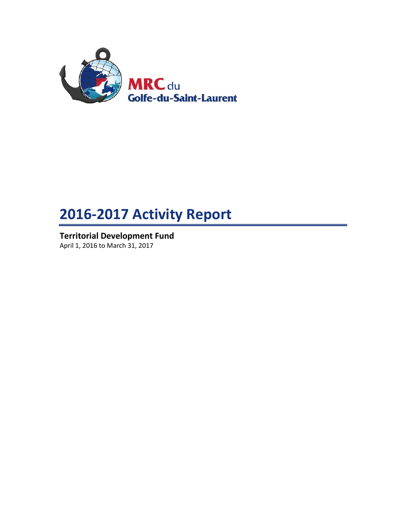

# **2016-2017 Activity Report**

**Territorial Development Fund** April 1, 2016 to March 31, 2017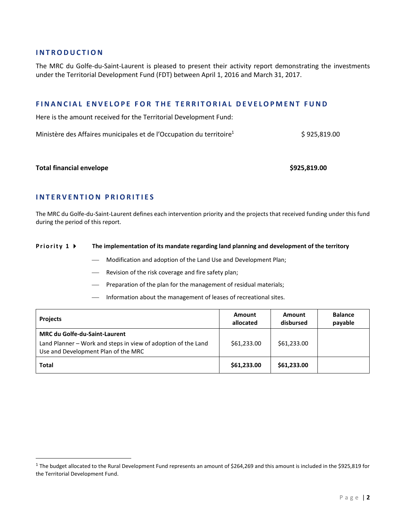## **I N T R O D U C T I O N**

The MRC du Golfe-du-Saint-Laurent is pleased to present their activity report demonstrating the investments under the Territorial Development Fund (FDT) between April 1, 2016 and March 31, 2017.

## **F I N A N C I A L E N V E L O P E F O R T H E T E R R I T O R I A L D E V E L O P M E N T F U N D**

Here is the amount received for the Territorial Development Fund:

Ministère des Affaires municipales et de l'Occupation du territoire<sup>1</sup> \$ 925,819.00

#### **Total financial envelope \$925,819.00**

 $\overline{\phantom{a}}$ 

## **I N T E R V E N T I O N P R I O R I T I E S**

The MRC du Golfe-du-Saint-Laurent defines each intervention priority and the projects that received funding under this fund during the period of this report.

#### **Priority 1**  $\triangleright$  The implementation of its mandate regarding land planning and development of the territory

- Modification and adoption of the Land Use and Development Plan;
- Revision of the risk coverage and fire safety plan;
- Preparation of the plan for the management of residual materials;
- $-$  Information about the management of leases of recreational sites.

| <b>Projects</b>                                                                                                                              | Amount<br>allocated | Amount<br>disbursed | <b>Balance</b><br>payable |
|----------------------------------------------------------------------------------------------------------------------------------------------|---------------------|---------------------|---------------------------|
| <b>MRC du Golfe-du-Saint-Laurent</b><br>Land Planner - Work and steps in view of adoption of the Land<br>Use and Development Plan of the MRC | \$61,233.00         | \$61,233.00         |                           |
| Total                                                                                                                                        | \$61,233.00         | \$61,233,00         |                           |

<sup>&</sup>lt;sup>1</sup> The budget allocated to the Rural Development Fund represents an amount of \$264,269 and this amount is included in the \$925,819 for the Territorial Development Fund.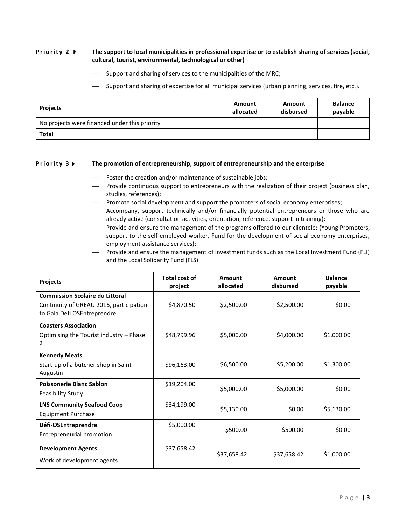#### **Priority 2 •** The support to local municipalities in professional expertise or to establish sharing of services (social, **cultural, tourist, environmental, technological or other)**

- $-$  Support and sharing of services to the municipalities of the MRC;
- Support and sharing of expertise for all municipal services (urban planning, services, fire, etc.).

| <b>Projects</b>                               | Amount<br>allocated | Amount<br>disbursed | <b>Balance</b><br>payable |
|-----------------------------------------------|---------------------|---------------------|---------------------------|
| No projects were financed under this priority |                     |                     |                           |
| <b>Total</b>                                  |                     |                     |                           |

#### **Priority 3 FI** The promotion of entrepreneurship, support of entrepreneurship and the enterprise

- Foster the creation and/or maintenance of sustainable jobs;
- Provide continuous support to entrepreneurs with the realization of their project (business plan, studies, references);
- Promote social development and support the promoters of social economy enterprises;
- Accompany, support technically and/or financially potential entrepreneurs or those who are already active (consultation activities, orientation, reference, support in training);
- Provide and ensure the management of the programs offered to our clientele: (Young Promoters, support to the self-employed worker, Fund for the development of social economy enterprises, employment assistance services);
- Provide and ensure the management of investment funds such as the Local Investment Fund (FLI) and the Local Solidarity Fund (FLS).

| <b>Projects</b>                                                                                                  | Total cost of<br>project | Amount<br>allocated | Amount<br>disbursed | <b>Balance</b><br>payable |
|------------------------------------------------------------------------------------------------------------------|--------------------------|---------------------|---------------------|---------------------------|
| <b>Commission Scolaire du Littoral</b><br>Continuity of GREAU 2016, participation<br>to Gala Defi OSEntreprendre | \$4,870.50               | \$2,500.00          | \$2,500.00          | \$0.00                    |
| <b>Coasters Association</b><br>Optimising the Tourist industry – Phase<br>2                                      | \$48,799.96              | \$5,000.00          | \$4,000.00          | \$1,000.00                |
| <b>Kennedy Meats</b><br>Start-up of a butcher shop in Saint-<br>Augustin                                         | \$96,163.00              | \$6,500.00          | \$5,200.00          | \$1,300.00                |
| <b>Poissonerie Blanc Sablon</b><br><b>Feasibility Study</b>                                                      | \$19,204.00              | \$5,000.00          | \$5,000.00          | \$0.00                    |
| <b>LNS Community Seafood Coop</b><br>Equipment Purchase                                                          | \$34,199.00              | \$5,130.00          | \$0.00              | \$5,130.00                |
| Défi-OSEntreprendre<br>Entrepreneurial promotion                                                                 | \$5,000.00               | \$500.00            | \$500.00            | \$0.00                    |
| <b>Development Agents</b><br>Work of development agents                                                          | \$37,658.42              | \$37,658.42         | \$37,658.42         | \$1,000.00                |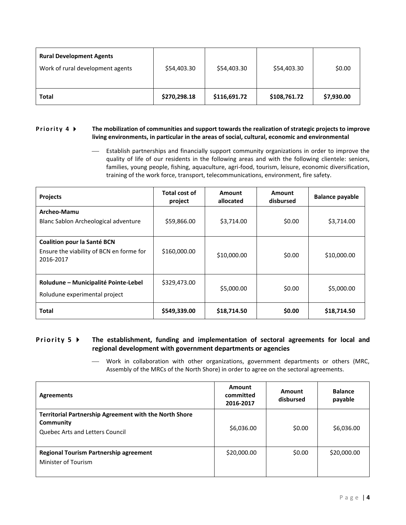| <b>Rural Development Agents</b><br>Work of rural development agents | \$54,403.30  | \$54,403.30  | \$54,403.30  | \$0.00     |
|---------------------------------------------------------------------|--------------|--------------|--------------|------------|
| <b>Total</b>                                                        | \$270,298.18 | \$116,691.72 | \$108,761.72 | \$7,930.00 |

#### **Priority 4**  $\triangleright$  The mobilization of communities and support towards the realization of strategic projects to improve **living environments, in particular in the areas of social, cultural, economic and environmental**

 Establish partnerships and financially support community organizations in order to improve the quality of life of our residents in the following areas and with the following clientele: seniors, families, young people, fishing, aquaculture, agri-food, tourism, leisure, economic diversification, training of the work force, transport, telecommunications, environment, fire safety.

| <b>Projects</b>                                                                             | Total cost of<br>project | Amount<br>allocated | Amount<br>disbursed | <b>Balance payable</b> |
|---------------------------------------------------------------------------------------------|--------------------------|---------------------|---------------------|------------------------|
| Archeo-Mamu<br>Blanc Sablon Archeological adventure                                         | \$59,866.00              | \$3,714.00          | \$0.00              | \$3,714.00             |
| <b>Coalition pour la Santé BCN</b><br>Ensure the viability of BCN en forme for<br>2016-2017 | \$160,000.00             | \$10,000.00         | \$0.00              | \$10,000.00            |
| Roludune – Municipalité Pointe-Lebel<br>Roludune experimental project                       | \$329,473.00             | \$5,000.00          | \$0.00              | \$5,000.00             |
| <b>Total</b>                                                                                | \$549,339.00             | \$18,714.50         | \$0.00              | \$18,714.50            |

## **Priority 5**  $\triangleright$  The establishment, funding and implementation of sectoral agreements for local and **regional development with government departments or agencies**

 Work in collaboration with other organizations, government departments or others (MRC, Assembly of the MRCs of the North Shore) in order to agree on the sectoral agreements.

| <b>Agreements</b>                                                                                             | Amount<br>committed<br>2016-2017 | Amount<br>disbursed | <b>Balance</b><br>payable |
|---------------------------------------------------------------------------------------------------------------|----------------------------------|---------------------|---------------------------|
| <b>Territorial Partnership Agreement with the North Shore</b><br>Community<br>Quebec Arts and Letters Council | \$6,036.00                       | \$0.00              | \$6,036.00                |
| <b>Regional Tourism Partnership agreement</b><br>Minister of Tourism                                          | \$20,000.00                      | \$0.00              | \$20,000.00               |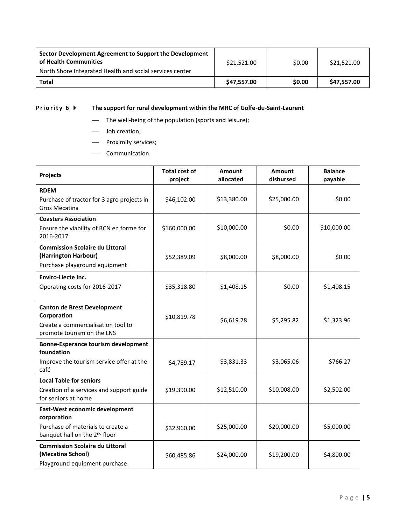| Sector Development Agreement to Support the Development<br>of Health Communities<br>North Shore Integrated Health and social services center | \$21,521.00 | \$0.00 | \$21.521.00 |
|----------------------------------------------------------------------------------------------------------------------------------------------|-------------|--------|-------------|
| Total                                                                                                                                        | \$47.557.00 | \$0.00 | \$47.557.00 |

# **Priority 6**  $\blacktriangleright$  The support for rural development within the MRC of Golfe-du-Saint-Laurent

- The well-being of the population (sports and leisure);
- Job creation;
- Proximity services;
- Communication.

| <b>Projects</b>                                                                                                                 | <b>Total cost of</b><br>project | <b>Amount</b><br>allocated | <b>Amount</b><br>disbursed | <b>Balance</b><br>payable |
|---------------------------------------------------------------------------------------------------------------------------------|---------------------------------|----------------------------|----------------------------|---------------------------|
| <b>RDEM</b><br>Purchase of tractor for 3 agro projects in<br><b>Gros Mecatina</b>                                               | \$46,102.00                     | \$13,380.00                | \$25,000.00                | \$0.00                    |
| <b>Coasters Association</b><br>Ensure the viability of BCN en forme for<br>2016-2017                                            | \$160,000.00                    | \$10,000.00                | \$0.00                     | \$10,000.00               |
| <b>Commission Scolaire du Littoral</b><br>(Harrington Harbour)<br>Purchase playground equipment                                 | \$52,389.09                     | \$8,000.00                 | \$8,000.00                 | \$0.00                    |
| <b>Enviro-Llecte Inc.</b><br>Operating costs for 2016-2017                                                                      | \$35,318.80                     | \$1,408.15                 | \$0.00                     | \$1,408.15                |
| <b>Canton de Brest Development</b><br>Corporation<br>Create a commercialisation tool to<br>promote tourism on the LNS           | \$10,819.78                     | \$6,619.78                 | \$5,295.82                 | \$1,323.96                |
| <b>Bonne-Esperance tourism development</b><br>foundation<br>Improve the tourism service offer at the<br>café                    | \$4,789.17                      | \$3,831.33                 | \$3,065.06                 | \$766.27                  |
| <b>Local Table for seniors</b><br>Creation of a services and support guide<br>for seniors at home                               | \$19,390.00                     | \$12,510.00                | \$10,008.00                | \$2,502.00                |
| East-West economic development<br>corporation<br>Purchase of materials to create a<br>banquet hall on the 2 <sup>nd</sup> floor | \$32,960.00                     | \$25,000.00                | \$20,000.00                | \$5,000.00                |
| <b>Commission Scolaire du Littoral</b><br>(Mecatina School)<br>Playground equipment purchase                                    | \$60,485.86                     | \$24,000.00                | \$19,200.00                | \$4,800.00                |